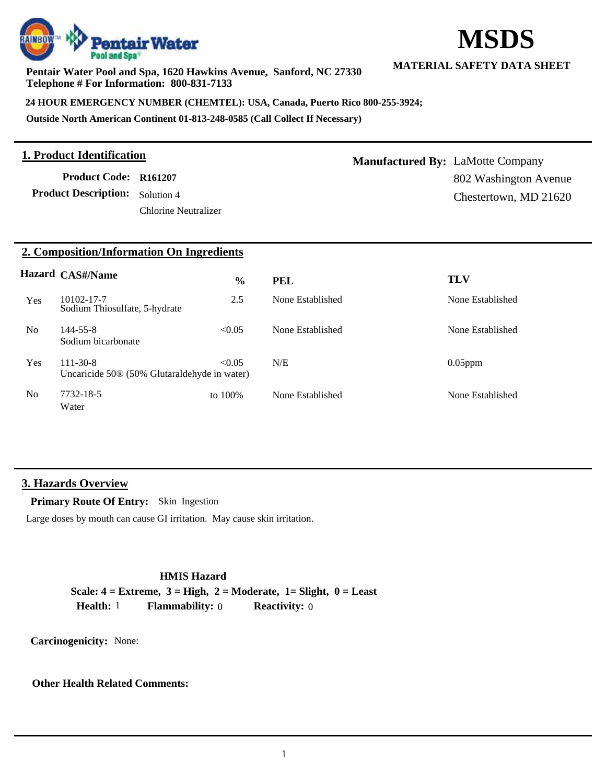

**Pentair Water Pool and Spa, 1620 Hawkins Avenue, Sanford, NC 27330 Telephone # For Information: 800-831-7133**

**24 HOUR EMERGENCY NUMBER (CHEMTEL): USA, Canada, Puerto Rico 800-255-3924;**

**Outside North American Continent 01-813-248-0585 (Call Collect If Necessary)**

#### **1. Product Identification**

**Product Description:** Solution 4 **Product Code: R161207**

Chlorine Neutralizer

**MATERIAL SAFETY DATA SHEET**

**MSDS**

**Manufactured By:** LaMotte Company 802 Washington Avenue Chestertown, MD 21620

### **2. Composition/Information On Ingredients**

|                | <b>Hazard CAS#/Name</b>                                                    | $\frac{6}{6}$ | <b>PEL</b>       | <b>TLV</b>       |
|----------------|----------------------------------------------------------------------------|---------------|------------------|------------------|
| Yes            | 10102-17-7<br>Sodium Thiosulfate, 5-hydrate                                | 2.5           | None Established | None Established |
| N <sub>0</sub> | $144 - 55 - 8$<br>Sodium bicarbonate                                       | < 0.05        | None Established | None Established |
| <b>Yes</b>     | $111 - 30 - 8$<br>Uncaricide 50 <sup>®</sup> (50% Glutaraldehyde in water) | < 0.05        | N/E              | $0.05$ ppm       |
| N <sub>0</sub> | 7732-18-5<br>Water                                                         | to $100\%$    | None Established | None Established |

### **3. Hazards Overview**

**Primary Route Of Entry:** Skin Ingestion

Large doses by mouth can cause GI irritation. May cause skin irritation.

# **HMIS Hazard Scale: 4 = Extreme, 3 = High, 2 = Moderate, 1= Slight, 0 = Least Health:** 1 **Flammability:** 0 **Reactivity:** 0

**Carcinogenicity:** None:

### **Other Health Related Comments:**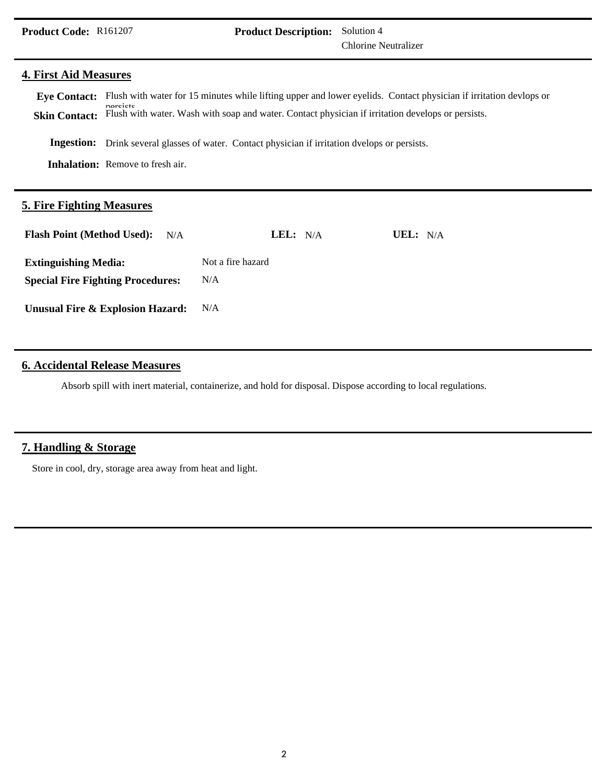Chlorine Neutralizer **Product Description:** Solution 4

#### **4. First Aid Measures**

Eye Contact: Flush with water for 15 minutes while lifting upper and lower eyelids. Contact physician if irritation devlops or **Skin Contact: Inhalation:** Remove to fresh air. **Ingestion:** Drink several glasses of water. Contact physician if irritation dvelops or persists. persists.<br>Flush with water. Wash with soap and water. Contact physician if irritation develops or persists.

#### **5. Fire Fighting Measures**

| <b>Flash Point (Method Used):</b> N/A    | LEL: $N/A$        | UEL: $N/A$ |
|------------------------------------------|-------------------|------------|
| <b>Extinguishing Media:</b>              | Not a fire hazard |            |
| <b>Special Fire Fighting Procedures:</b> | N/A               |            |
| Unusual Fire & Explosion Hazard:         | N/A               |            |

# **6. Accidental Release Measures**

Absorb spill with inert material, containerize, and hold for disposal. Dispose according to local regulations.

### **7. Handling & Storage**

Store in cool, dry, storage area away from heat and light.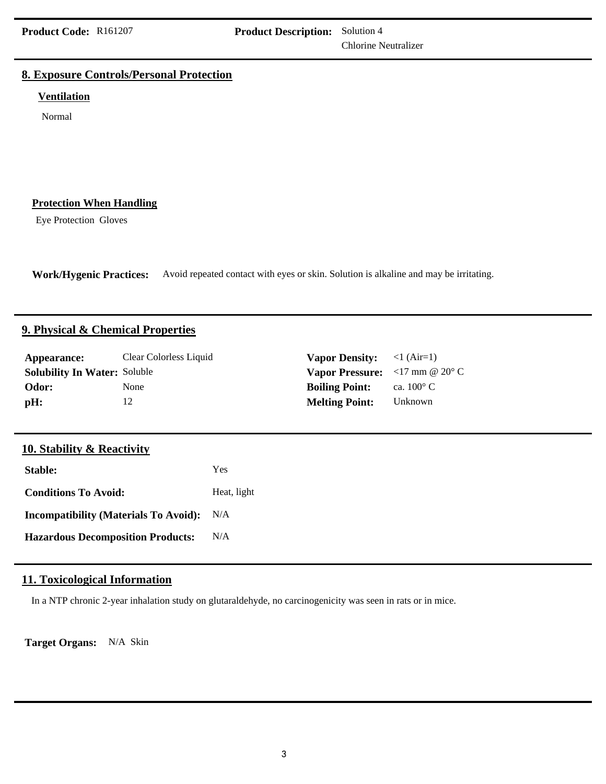Chlorine Neutralizer

# **8. Exposure Controls/Personal Protection**

#### **Ventilation**

Normal

# **Protection When Handling**

Eye Protection Gloves

**Work/Hygenic Practices:** Avoid repeated contact with eyes or skin. Solution is alkaline and may be irritating.

#### **9. Physical & Chemical Properties**

| Appearance:                         | Clear Colorless Liquid | <b>Vapor Density:</b> $\langle 1 (Air=1) \rangle$                                   |                     |
|-------------------------------------|------------------------|-------------------------------------------------------------------------------------|---------------------|
| <b>Solubility In Water: Soluble</b> |                        | <b>Vapor Pressure:</b> $\langle 17 \text{ mm} \otimes 20^{\circ} \text{ C} \rangle$ |                     |
| Odor:                               | None                   | <b>Boiling Point:</b>                                                               | ca. $100^{\circ}$ C |
| pH:                                 |                        | <b>Melting Point:</b>                                                               | Unknown             |

# **10. Stability & Reactivity**

| Stable:                                      | Yes         |
|----------------------------------------------|-------------|
| <b>Conditions To Avoid:</b>                  | Heat, light |
| <b>Incompatibility (Materials To Avoid):</b> | N/A         |
| <b>Hazardous Decomposition Products:</b>     | N/A         |

# **11. Toxicological Information**

In a NTP chronic 2-year inhalation study on glutaraldehyde, no carcinogenicity was seen in rats or in mice.

**Target Organs:** N/A Skin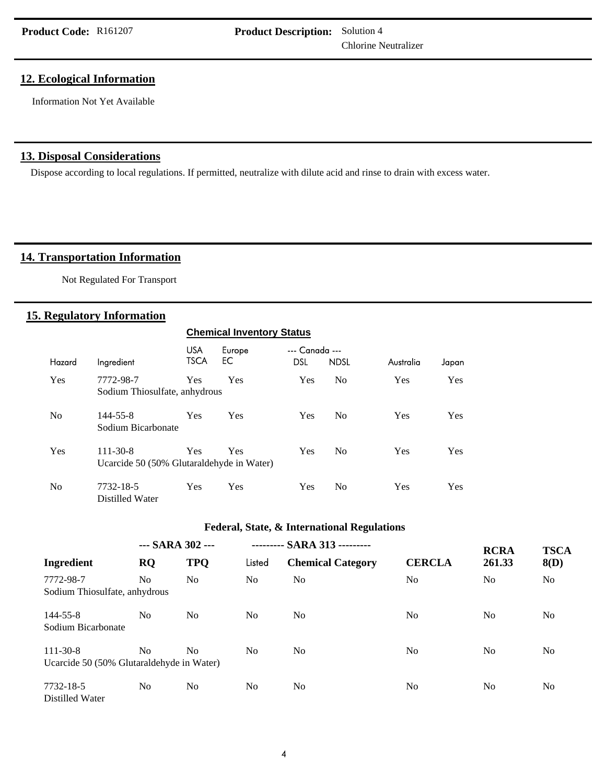Chlorine Neutralizer

# **12. Ecological Information**

Information Not Yet Available

# **13. Disposal Considerations**

Dispose according to local regulations. If permitted, neutralize with dilute acid and rinse to drain with excess water.

## 14. Transportation Information

Not Regulated For Transport

#### **15. Regulatory Information**

| <b>Chemical Inventory Status</b> |                                                             |                           |              |                              |                |            |       |
|----------------------------------|-------------------------------------------------------------|---------------------------|--------------|------------------------------|----------------|------------|-------|
| Hazard                           | Ingredient                                                  | <b>USA</b><br><b>TSCA</b> | Europe<br>EС | --- Canada ---<br><b>DSL</b> | <b>NDSL</b>    | Australia  | Japan |
| Yes                              | 7772-98-7<br>Sodium Thiosulfate, anhydrous                  | Yes                       | Yes          | Yes                          | N <sub>0</sub> | Yes        | Yes   |
| N <sub>0</sub>                   | 144-55-8<br>Sodium Bicarbonate                              | Yes                       | Yes          | Yes                          | N <sub>0</sub> | Yes        | Yes   |
| Yes                              | $111 - 30 - 8$<br>Ucarcide 50 (50% Glutaraldehyde in Water) | Yes                       | Yes          | Yes                          | N <sub>0</sub> | <b>Yes</b> | Yes   |
| N <sub>0</sub>                   | 7732-18-5<br>Distilled Water                                | Yes                       | Yes          | Yes                          | N <sub>0</sub> | Yes        | Yes   |

#### **Federal, State, & International Regulations**

|                                           | --- SARA 302 --- |                | --------- SARA 313 --------- |                          |                | <b>RCRA</b>    | <b>TSCA</b>    |
|-------------------------------------------|------------------|----------------|------------------------------|--------------------------|----------------|----------------|----------------|
| Ingredient                                | <b>RQ</b>        | <b>TPQ</b>     | Listed                       | <b>Chemical Category</b> | <b>CERCLA</b>  | 261.33         | 8(D)           |
| 7772-98-7                                 | N <sub>0</sub>   | N <sub>0</sub> | No.                          | N <sub>0</sub>           | N <sub>0</sub> | N <sub>0</sub> | N <sub>0</sub> |
| Sodium Thiosulfate, anhydrous             |                  |                |                              |                          |                |                |                |
| 144-55-8                                  | N <sub>0</sub>   | N <sub>0</sub> | No.                          | N <sub>0</sub>           | N <sub>0</sub> | N <sub>o</sub> | No             |
| Sodium Bicarbonate                        |                  |                |                              |                          |                |                |                |
| $111 - 30 - 8$                            | N <sub>0</sub>   | N <sub>0</sub> | No.                          | N <sub>0</sub>           | N <sub>0</sub> | N <sub>o</sub> | No             |
| Ucarcide 50 (50% Glutaraldehyde in Water) |                  |                |                              |                          |                |                |                |
| 7732-18-5                                 | N <sub>0</sub>   | N <sub>0</sub> | No.                          | N <sub>0</sub>           | N <sub>0</sub> | N <sub>0</sub> | N <sub>0</sub> |
| Distilled Water                           |                  |                |                              |                          |                |                |                |